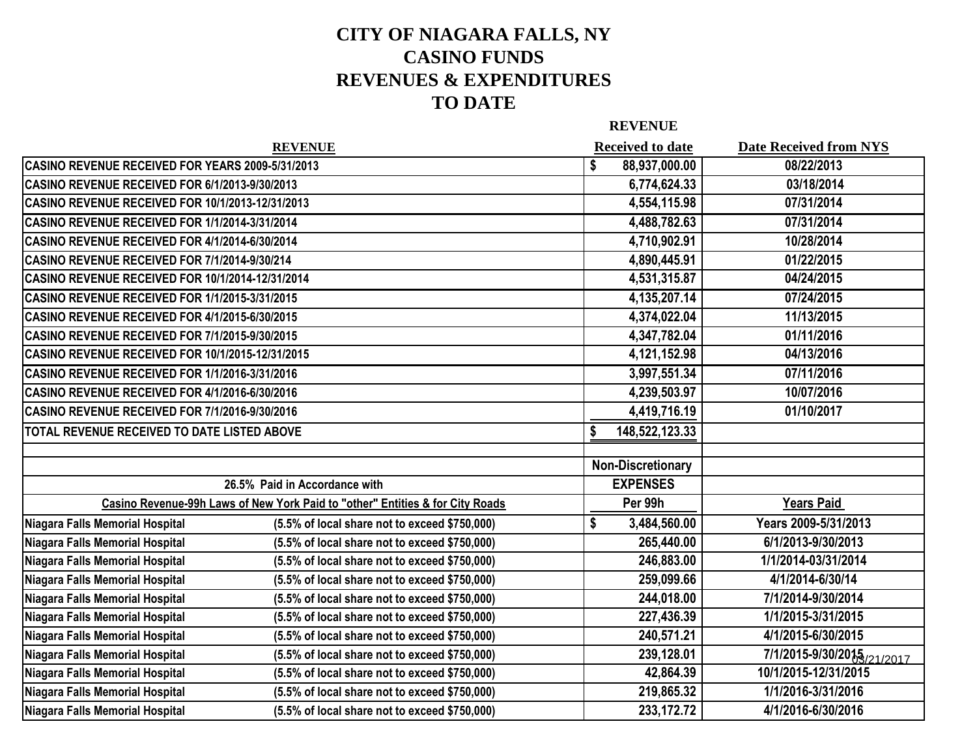## **CITY OF NIAGARA FALLS, NY CASINO FUNDS REVENUES & EXPENDITURES TO DATE**

**REVENUE**

|                                                  | <b>REVENUE</b>                                                                |    | <b>Received to date</b>  | <b>Date Received from NYS</b> |
|--------------------------------------------------|-------------------------------------------------------------------------------|----|--------------------------|-------------------------------|
| CASINO REVENUE RECEIVED FOR YEARS 2009-5/31/2013 |                                                                               | \$ | 88,937,000.00            | 08/22/2013                    |
| CASINO REVENUE RECEIVED FOR 6/1/2013-9/30/2013   |                                                                               |    | 6,774,624.33             | 03/18/2014                    |
| CASINO REVENUE RECEIVED FOR 10/1/2013-12/31/2013 |                                                                               |    | 4,554,115.98             | 07/31/2014                    |
| CASINO REVENUE RECEIVED FOR 1/1/2014-3/31/2014   |                                                                               |    | 4,488,782.63             | 07/31/2014                    |
| CASINO REVENUE RECEIVED FOR 4/1/2014-6/30/2014   |                                                                               |    | 4,710,902.91             | 10/28/2014                    |
| CASINO REVENUE RECEIVED FOR 7/1/2014-9/30/214    |                                                                               |    | 4,890,445.91             | 01/22/2015                    |
| CASINO REVENUE RECEIVED FOR 10/1/2014-12/31/2014 |                                                                               |    | 4,531,315.87             | 04/24/2015                    |
| CASINO REVENUE RECEIVED FOR 1/1/2015-3/31/2015   |                                                                               |    | 4,135,207.14             | 07/24/2015                    |
| CASINO REVENUE RECEIVED FOR 4/1/2015-6/30/2015   |                                                                               |    | 4,374,022.04             | 11/13/2015                    |
| CASINO REVENUE RECEIVED FOR 7/1/2015-9/30/2015   |                                                                               |    | 4,347,782.04             | 01/11/2016                    |
| CASINO REVENUE RECEIVED FOR 10/1/2015-12/31/2015 |                                                                               |    | 4,121,152.98             | 04/13/2016                    |
| CASINO REVENUE RECEIVED FOR 1/1/2016-3/31/2016   |                                                                               |    | 3,997,551.34             | 07/11/2016                    |
| CASINO REVENUE RECEIVED FOR 4/1/2016-6/30/2016   |                                                                               |    | 4,239,503.97             | 10/07/2016                    |
| CASINO REVENUE RECEIVED FOR 7/1/2016-9/30/2016   |                                                                               |    | 4,419,716.19             | 01/10/2017                    |
| TOTAL REVENUE RECEIVED TO DATE LISTED ABOVE      |                                                                               | S  | 148,522,123.33           |                               |
|                                                  |                                                                               |    |                          |                               |
|                                                  |                                                                               |    | <b>Non-Discretionary</b> |                               |
|                                                  | 26.5% Paid in Accordance with                                                 |    | <b>EXPENSES</b>          |                               |
|                                                  | Casino Revenue-99h Laws of New York Paid to "other" Entities & for City Roads |    | Per 99h                  | <b>Years Paid</b>             |
| Niagara Falls Memorial Hospital                  | (5.5% of local share not to exceed \$750,000)                                 | \$ | 3,484,560.00             | Years 2009-5/31/2013          |
| Niagara Falls Memorial Hospital                  | (5.5% of local share not to exceed \$750,000)                                 |    | 265,440.00               | 6/1/2013-9/30/2013            |
| Niagara Falls Memorial Hospital                  | (5.5% of local share not to exceed \$750,000)                                 |    | 246,883.00               | 1/1/2014-03/31/2014           |
| Niagara Falls Memorial Hospital                  | (5.5% of local share not to exceed \$750,000)                                 |    | 259,099.66               | 4/1/2014-6/30/14              |
| Niagara Falls Memorial Hospital                  | (5.5% of local share not to exceed \$750,000)                                 |    | 244,018.00               | 7/1/2014-9/30/2014            |
| Niagara Falls Memorial Hospital                  | (5.5% of local share not to exceed \$750,000)                                 |    | 227,436.39               | 1/1/2015-3/31/2015            |
| Niagara Falls Memorial Hospital                  | (5.5% of local share not to exceed \$750,000)                                 |    | 240,571.21               | 4/1/2015-6/30/2015            |
| Niagara Falls Memorial Hospital                  | (5.5% of local share not to exceed \$750,000)                                 |    | 239,128.01               | 7/1/2015-9/30/2015/21/2017    |
| Niagara Falls Memorial Hospital                  | (5.5% of local share not to exceed \$750,000)                                 |    | 42,864.39                | 10/1/2015-12/31/2015          |
| Niagara Falls Memorial Hospital                  | (5.5% of local share not to exceed \$750,000)                                 |    | 219,865.32               | 1/1/2016-3/31/2016            |
| Niagara Falls Memorial Hospital                  | (5.5% of local share not to exceed \$750,000)                                 |    | 233, 172. 72             | 4/1/2016-6/30/2016            |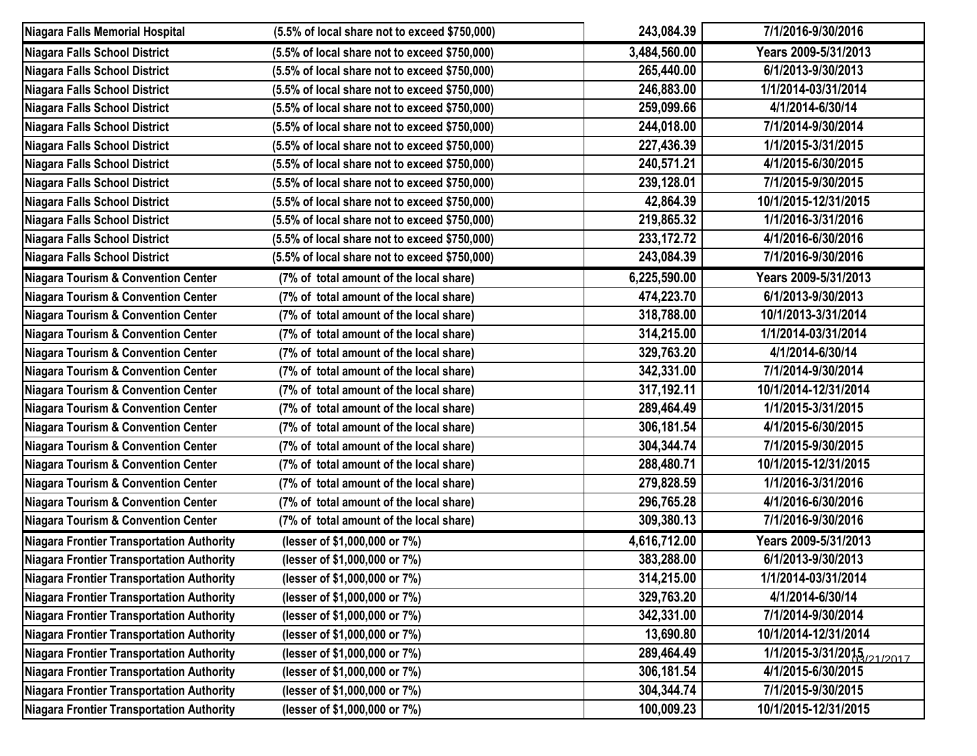| Niagara Falls Memorial Hospital                  | (5.5% of local share not to exceed \$750,000) | 243,084.39   | 7/1/2016-9/30/2016   |
|--------------------------------------------------|-----------------------------------------------|--------------|----------------------|
| Niagara Falls School District                    | (5.5% of local share not to exceed \$750,000) | 3,484,560.00 | Years 2009-5/31/2013 |
| Niagara Falls School District                    | (5.5% of local share not to exceed \$750,000) | 265,440.00   | 6/1/2013-9/30/2013   |
| <b>Niagara Falls School District</b>             | (5.5% of local share not to exceed \$750,000) | 246,883.00   | 1/1/2014-03/31/2014  |
| Niagara Falls School District                    | (5.5% of local share not to exceed \$750,000) | 259,099.66   | 4/1/2014-6/30/14     |
| <b>Niagara Falls School District</b>             | (5.5% of local share not to exceed \$750,000) | 244,018.00   | 7/1/2014-9/30/2014   |
| Niagara Falls School District                    | (5.5% of local share not to exceed \$750,000) | 227,436.39   | 1/1/2015-3/31/2015   |
| <b>Niagara Falls School District</b>             | (5.5% of local share not to exceed \$750,000) | 240,571.21   | 4/1/2015-6/30/2015   |
| Niagara Falls School District                    | (5.5% of local share not to exceed \$750,000) | 239,128.01   | 7/1/2015-9/30/2015   |
| <b>Niagara Falls School District</b>             | (5.5% of local share not to exceed \$750,000) | 42,864.39    | 10/1/2015-12/31/2015 |
| Niagara Falls School District                    | (5.5% of local share not to exceed \$750,000) | 219,865.32   | 1/1/2016-3/31/2016   |
| Niagara Falls School District                    | (5.5% of local share not to exceed \$750,000) | 233, 172. 72 | 4/1/2016-6/30/2016   |
| Niagara Falls School District                    | (5.5% of local share not to exceed \$750,000) | 243,084.39   | 7/1/2016-9/30/2016   |
| Niagara Tourism & Convention Center              | (7% of total amount of the local share)       | 6,225,590.00 | Years 2009-5/31/2013 |
| <b>Niagara Tourism &amp; Convention Center</b>   | (7% of total amount of the local share)       | 474,223.70   | 6/1/2013-9/30/2013   |
| Niagara Tourism & Convention Center              | (7% of total amount of the local share)       | 318,788.00   | 10/1/2013-3/31/2014  |
| <b>Niagara Tourism &amp; Convention Center</b>   | (7% of total amount of the local share)       | 314,215.00   | 1/1/2014-03/31/2014  |
| Niagara Tourism & Convention Center              | (7% of total amount of the local share)       | 329,763.20   | 4/1/2014-6/30/14     |
| <b>Niagara Tourism &amp; Convention Center</b>   | (7% of total amount of the local share)       | 342,331.00   | 7/1/2014-9/30/2014   |
| Niagara Tourism & Convention Center              | (7% of total amount of the local share)       | 317,192.11   | 10/1/2014-12/31/2014 |
| <b>Niagara Tourism &amp; Convention Center</b>   | (7% of total amount of the local share)       | 289,464.49   | 1/1/2015-3/31/2015   |
| Niagara Tourism & Convention Center              | (7% of total amount of the local share)       | 306,181.54   | 4/1/2015-6/30/2015   |
| <b>Niagara Tourism &amp; Convention Center</b>   | (7% of total amount of the local share)       | 304,344.74   | 7/1/2015-9/30/2015   |
| Niagara Tourism & Convention Center              | (7% of total amount of the local share)       | 288,480.71   | 10/1/2015-12/31/2015 |
| <b>Niagara Tourism &amp; Convention Center</b>   | (7% of total amount of the local share)       | 279,828.59   | 1/1/2016-3/31/2016   |
| <b>Niagara Tourism &amp; Convention Center</b>   | (7% of total amount of the local share)       | 296,765.28   | 4/1/2016-6/30/2016   |
| Niagara Tourism & Convention Center              | (7% of total amount of the local share)       | 309,380.13   | 7/1/2016-9/30/2016   |
| Niagara Frontier Transportation Authority        | (lesser of \$1,000,000 or 7%)                 | 4,616,712.00 | Years 2009-5/31/2013 |
| Niagara Frontier Transportation Authority        | (lesser of \$1,000,000 or 7%)                 | 383,288.00   | 6/1/2013-9/30/2013   |
| Niagara Frontier Transportation Authority        | (lesser of \$1,000,000 or 7%)                 | 314,215.00   | 1/1/2014-03/31/2014  |
| Niagara Frontier Transportation Authority        | (lesser of \$1,000,000 or 7%)                 | 329,763.20   | 4/1/2014-6/30/14     |
| Niagara Frontier Transportation Authority        | (lesser of \$1,000,000 or 7%)                 | 342,331.00   | 7/1/2014-9/30/2014   |
| Niagara Frontier Transportation Authority        | (lesser of \$1,000,000 or 7%)                 | 13,690.80    | 10/1/2014-12/31/2014 |
| <b>Niagara Frontier Transportation Authority</b> | (lesser of \$1,000,000 or 7%)                 | 289,464.49   | 1/1/2015-3/31/2015   |
| Niagara Frontier Transportation Authority        | (lesser of \$1,000,000 or 7%)                 | 306,181.54   | 4/1/2015-6/30/2015   |
| <b>Niagara Frontier Transportation Authority</b> | (lesser of \$1,000,000 or 7%)                 | 304,344.74   | 7/1/2015-9/30/2015   |
| Niagara Frontier Transportation Authority        | (lesser of \$1,000,000 or 7%)                 | 100,009.23   | 10/1/2015-12/31/2015 |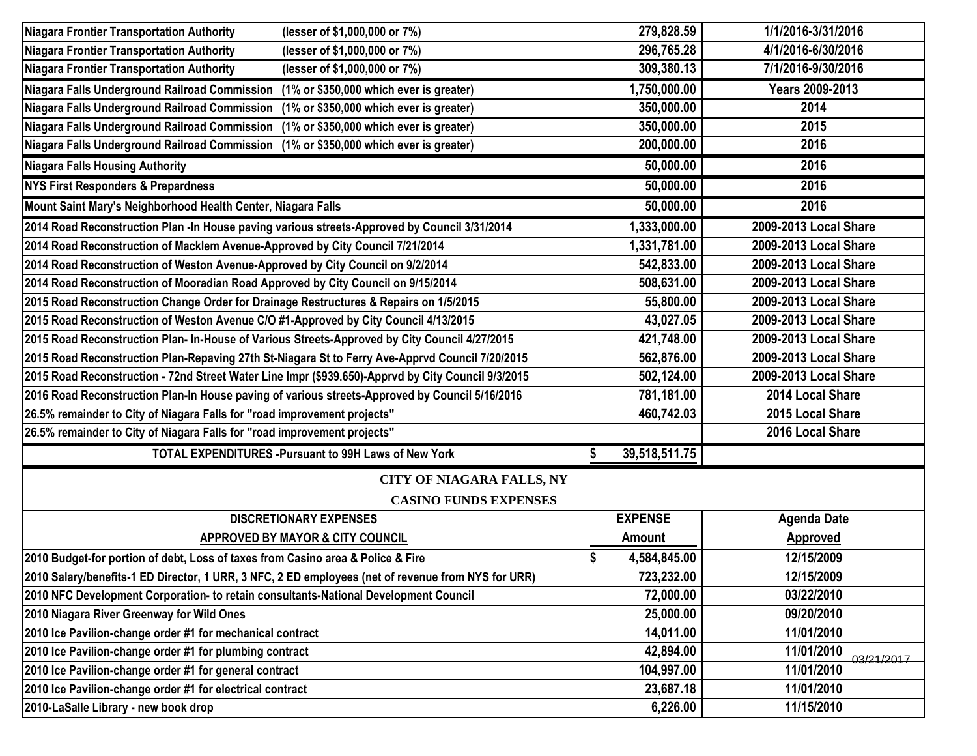| <b>Niagara Frontier Transportation Authority</b><br>(lesser of \$1,000,000 or 7%)                  | 279,828.59         | 1/1/2016-3/31/2016       |
|----------------------------------------------------------------------------------------------------|--------------------|--------------------------|
| <b>Niagara Frontier Transportation Authority</b><br>(lesser of \$1,000,000 or 7%)                  | 296,765.28         | 4/1/2016-6/30/2016       |
| <b>Niagara Frontier Transportation Authority</b><br>(lesser of \$1,000,000 or 7%)                  | 309,380.13         | 7/1/2016-9/30/2016       |
| Niagara Falls Underground Railroad Commission<br>(1% or \$350,000 which ever is greater)           | 1,750,000.00       | <b>Years 2009-2013</b>   |
| Niagara Falls Underground Railroad Commission<br>(1% or \$350,000 which ever is greater)           | 350,000.00         | 2014                     |
| Niagara Falls Underground Railroad Commission<br>(1% or \$350,000 which ever is greater)           | 350,000.00         | 2015                     |
| Niagara Falls Underground Railroad Commission<br>(1% or \$350,000 which ever is greater)           | 200,000.00         | 2016                     |
| <b>Niagara Falls Housing Authority</b>                                                             | 50,000.00          | 2016                     |
| <b>NYS First Responders &amp; Prepardness</b>                                                      | 50,000.00          | 2016                     |
| Mount Saint Mary's Neighborhood Health Center, Niagara Falls                                       | 50,000.00          | 2016                     |
| 2014 Road Reconstruction Plan -In House paving various streets-Approved by Council 3/31/2014       | 1,333,000.00       | 2009-2013 Local Share    |
| 2014 Road Reconstruction of Macklem Avenue-Approved by City Council 7/21/2014                      | 1,331,781.00       | 2009-2013 Local Share    |
| 2014 Road Reconstruction of Weston Avenue-Approved by City Council on 9/2/2014                     | 542,833.00         | 2009-2013 Local Share    |
| 2014 Road Reconstruction of Mooradian Road Approved by City Council on 9/15/2014                   | 508,631.00         | 2009-2013 Local Share    |
| 2015 Road Reconstruction Change Order for Drainage Restructures & Repairs on 1/5/2015              | 55,800.00          | 2009-2013 Local Share    |
| 2015 Road Reconstruction of Weston Avenue C/O #1-Approved by City Council 4/13/2015                | 43,027.05          | 2009-2013 Local Share    |
| 2015 Road Reconstruction Plan- In-House of Various Streets-Approved by City Council 4/27/2015      | 421,748.00         | 2009-2013 Local Share    |
| 2015 Road Reconstruction Plan-Repaving 27th St-Niagara St to Ferry Ave-Apprvd Council 7/20/2015    | 562,876.00         | 2009-2013 Local Share    |
| 2015 Road Reconstruction - 72nd Street Water Line Impr (\$939.650)-Apprvd by City Council 9/3/2015 | 502,124.00         | 2009-2013 Local Share    |
| 2016 Road Reconstruction Plan-In House paving of various streets-Approved by Council 5/16/2016     | 781,181.00         | 2014 Local Share         |
| 26.5% remainder to City of Niagara Falls for "road improvement projects"                           | 460,742.03         | 2015 Local Share         |
| 26.5% remainder to City of Niagara Falls for "road improvement projects"                           |                    | 2016 Local Share         |
| <b>TOTAL EXPENDITURES - Pursuant to 99H Laws of New York</b>                                       | 39,518,511.75<br>S |                          |
| <b>CITY OF NIAGARA FALLS, NY</b>                                                                   |                    |                          |
| <b>CASINO FUNDS EXPENSES</b>                                                                       |                    |                          |
| <b>DISCRETIONARY EXPENSES</b>                                                                      | <b>EXPENSE</b>     | <b>Agenda Date</b>       |
| APPROVED BY MAYOR & CITY COUNCIL                                                                   | Amount             | <b>Approved</b>          |
| 2010 Budget-for portion of debt, Loss of taxes from Casino area & Police & Fire                    | 4,584,845.00       | 12/15/2009               |
| 2010 Salary/benefits-1 ED Director, 1 URR, 3 NFC, 2 ED employees (net of revenue from NYS for URR) | 723,232.00         | 12/15/2009               |
| 2010 NFC Development Corporation- to retain consultants-National Development Council               | 72,000.00          | 03/22/2010               |
| 2010 Niagara River Greenway for Wild Ones                                                          | 25,000.00          | 09/20/2010               |
| 2010 Ice Pavilion-change order #1 for mechanical contract                                          | 14,011.00          | 11/01/2010               |
| 2010 Ice Pavilion-change order #1 for plumbing contract                                            | 42,894.00          | 11/01/2010<br>03/21/2017 |
| 2010 Ice Pavilion-change order #1 for general contract                                             | 104,997.00         | 11/01/2010               |
| 2010 Ice Pavilion-change order #1 for electrical contract                                          | 23,687.18          | 11/01/2010               |
| 2010-LaSalle Library - new book drop                                                               | 6,226.00           | 11/15/2010               |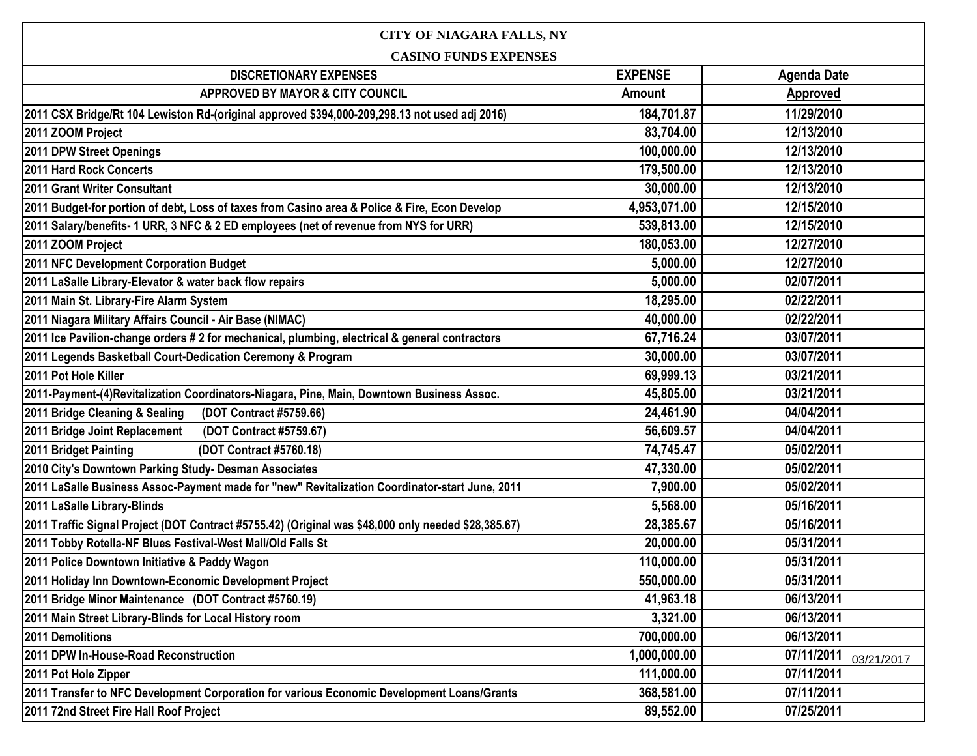| <b>CITY OF NIAGARA FALLS, NY</b>                                                                    |                |                          |  |
|-----------------------------------------------------------------------------------------------------|----------------|--------------------------|--|
| <b>CASINO FUNDS EXPENSES</b>                                                                        |                |                          |  |
| <b>DISCRETIONARY EXPENSES</b>                                                                       | <b>EXPENSE</b> | <b>Agenda Date</b>       |  |
| APPROVED BY MAYOR & CITY COUNCIL                                                                    | Amount         | <b>Approved</b>          |  |
| 2011 CSX Bridge/Rt 104 Lewiston Rd-(original approved \$394,000-209,298.13 not used adj 2016)       | 184,701.87     | 11/29/2010               |  |
| 2011 ZOOM Project                                                                                   | 83,704.00      | 12/13/2010               |  |
| 2011 DPW Street Openings                                                                            | 100,000.00     | 12/13/2010               |  |
| 2011 Hard Rock Concerts                                                                             | 179,500.00     | 12/13/2010               |  |
| 2011 Grant Writer Consultant                                                                        | 30,000.00      | 12/13/2010               |  |
| 2011 Budget-for portion of debt, Loss of taxes from Casino area & Police & Fire, Econ Develop       | 4,953,071.00   | 12/15/2010               |  |
| 2011 Salary/benefits- 1 URR, 3 NFC & 2 ED employees (net of revenue from NYS for URR)               | 539,813.00     | 12/15/2010               |  |
| 2011 ZOOM Project                                                                                   | 180,053.00     | 12/27/2010               |  |
| 2011 NFC Development Corporation Budget                                                             | 5,000.00       | 12/27/2010               |  |
| 2011 LaSalle Library-Elevator & water back flow repairs                                             | 5,000.00       | 02/07/2011               |  |
| 2011 Main St. Library-Fire Alarm System                                                             | 18,295.00      | 02/22/2011               |  |
| 2011 Niagara Military Affairs Council - Air Base (NIMAC)                                            | 40,000.00      | 02/22/2011               |  |
| 2011 Ice Pavilion-change orders # 2 for mechanical, plumbing, electrical & general contractors      | 67,716.24      | 03/07/2011               |  |
| 2011 Legends Basketball Court-Dedication Ceremony & Program                                         | 30,000.00      | 03/07/2011               |  |
| 2011 Pot Hole Killer                                                                                | 69,999.13      | 03/21/2011               |  |
| 2011-Payment-(4) Revitalization Coordinators-Niagara, Pine, Main, Downtown Business Assoc.          | 45,805.00      | 03/21/2011               |  |
| 2011 Bridge Cleaning & Sealing<br>(DOT Contract #5759.66)                                           | 24,461.90      | 04/04/2011               |  |
| 2011 Bridge Joint Replacement<br>(DOT Contract #5759.67)                                            | 56,609.57      | 04/04/2011               |  |
| 2011 Bridget Painting<br>(DOT Contract #5760.18)                                                    | 74,745.47      | 05/02/2011               |  |
| 2010 City's Downtown Parking Study- Desman Associates                                               | 47,330.00      | 05/02/2011               |  |
| 2011 LaSalle Business Assoc-Payment made for "new" Revitalization Coordinator-start June, 2011      | 7,900.00       | 05/02/2011               |  |
| 2011 LaSalle Library-Blinds                                                                         | 5,568.00       | 05/16/2011               |  |
| 2011 Traffic Signal Project (DOT Contract #5755.42) (Original was \$48,000 only needed \$28,385.67) | 28,385.67      | 05/16/2011               |  |
| 2011 Tobby Rotella-NF Blues Festival-West Mall/Old Falls St                                         | 20,000.00      | 05/31/2011               |  |
| 2011 Police Downtown Initiative & Paddy Wagon                                                       | 110,000.00     | 05/31/2011               |  |
| 2011 Holiday Inn Downtown-Economic Development Project                                              | 550,000.00     | 05/31/2011               |  |
| 2011 Bridge Minor Maintenance (DOT Contract #5760.19)                                               | 41,963.18      | 06/13/2011               |  |
| 2011 Main Street Library-Blinds for Local History room                                              | 3,321.00       | 06/13/2011               |  |
| 2011 Demolitions                                                                                    | 700,000.00     | 06/13/2011               |  |
| 2011 DPW In-House-Road Reconstruction                                                               | 1,000,000.00   | 07/11/2011<br>03/21/2017 |  |
| 2011 Pot Hole Zipper                                                                                | 111,000.00     | 07/11/2011               |  |
| 2011 Transfer to NFC Development Corporation for various Economic Development Loans/Grants          | 368,581.00     | 07/11/2011               |  |
| 2011 72nd Street Fire Hall Roof Project                                                             | 89,552.00      | 07/25/2011               |  |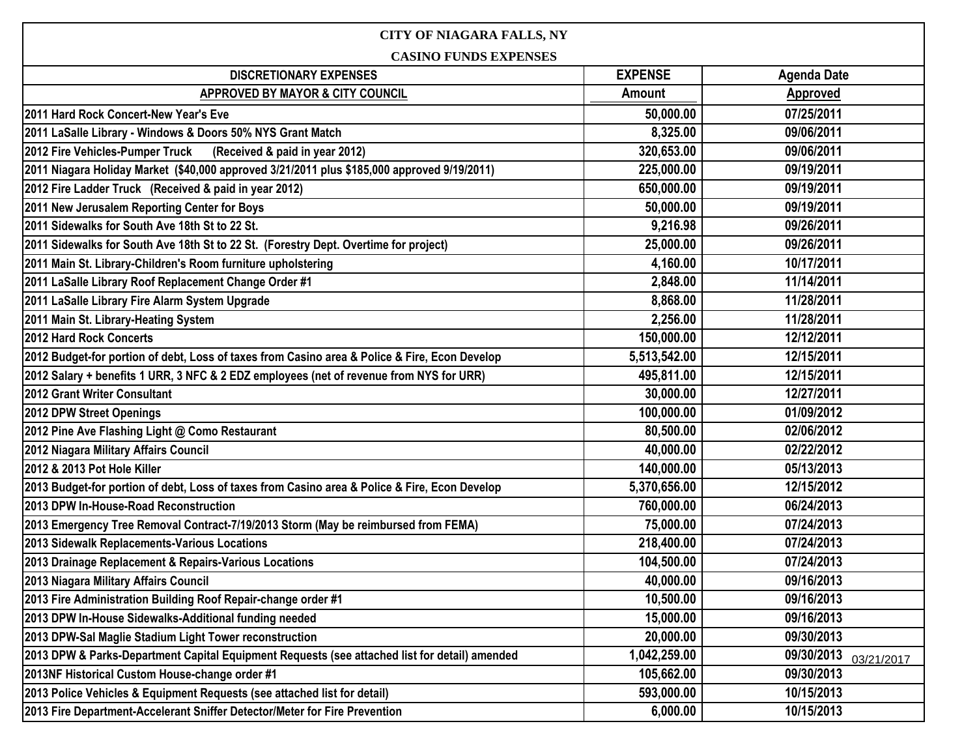| <b>CITY OF NIAGARA FALLS, NY</b>                                                              |                |                          |  |
|-----------------------------------------------------------------------------------------------|----------------|--------------------------|--|
| <b>CASINO FUNDS EXPENSES</b>                                                                  |                |                          |  |
| <b>DISCRETIONARY EXPENSES</b>                                                                 | <b>EXPENSE</b> | <b>Agenda Date</b>       |  |
| APPROVED BY MAYOR & CITY COUNCIL                                                              | Amount         | Approved                 |  |
| 2011 Hard Rock Concert-New Year's Eve                                                         | 50,000.00      | 07/25/2011               |  |
| 2011 LaSalle Library - Windows & Doors 50% NYS Grant Match                                    | 8,325.00       | 09/06/2011               |  |
| 2012 Fire Vehicles-Pumper Truck<br>(Received & paid in year 2012)                             | 320,653.00     | 09/06/2011               |  |
| 2011 Niagara Holiday Market (\$40,000 approved 3/21/2011 plus \$185,000 approved 9/19/2011)   | 225,000.00     | 09/19/2011               |  |
| 2012 Fire Ladder Truck (Received & paid in year 2012)                                         | 650,000.00     | 09/19/2011               |  |
| 2011 New Jerusalem Reporting Center for Boys                                                  | 50,000.00      | 09/19/2011               |  |
| 2011 Sidewalks for South Ave 18th St to 22 St.                                                | 9,216.98       | 09/26/2011               |  |
| 2011 Sidewalks for South Ave 18th St to 22 St. (Forestry Dept. Overtime for project)          | 25,000.00      | 09/26/2011               |  |
| 2011 Main St. Library-Children's Room furniture upholstering                                  | 4,160.00       | 10/17/2011               |  |
| 2011 LaSalle Library Roof Replacement Change Order #1                                         | 2,848.00       | 11/14/2011               |  |
| 2011 LaSalle Library Fire Alarm System Upgrade                                                | 8,868.00       | 11/28/2011               |  |
| 2011 Main St. Library-Heating System                                                          | 2,256.00       | 11/28/2011               |  |
| 2012 Hard Rock Concerts                                                                       | 150,000.00     | 12/12/2011               |  |
| 2012 Budget-for portion of debt, Loss of taxes from Casino area & Police & Fire, Econ Develop | 5,513,542.00   | 12/15/2011               |  |
| 2012 Salary + benefits 1 URR, 3 NFC & 2 EDZ employees (net of revenue from NYS for URR)       | 495,811.00     | 12/15/2011               |  |
| 2012 Grant Writer Consultant                                                                  | 30,000.00      | 12/27/2011               |  |
| 2012 DPW Street Openings                                                                      | 100,000.00     | 01/09/2012               |  |
| 2012 Pine Ave Flashing Light @ Como Restaurant                                                | 80,500.00      | 02/06/2012               |  |
| 2012 Niagara Military Affairs Council                                                         | 40,000.00      | 02/22/2012               |  |
| 2012 & 2013 Pot Hole Killer                                                                   | 140,000.00     | 05/13/2013               |  |
| 2013 Budget-for portion of debt, Loss of taxes from Casino area & Police & Fire, Econ Develop | 5,370,656.00   | 12/15/2012               |  |
| 2013 DPW In-House-Road Reconstruction                                                         | 760,000.00     | 06/24/2013               |  |
| 2013 Emergency Tree Removal Contract-7/19/2013 Storm (May be reimbursed from FEMA)            | 75,000.00      | 07/24/2013               |  |
| 2013 Sidewalk Replacements-Various Locations                                                  | 218,400.00     | 07/24/2013               |  |
| 2013 Drainage Replacement & Repairs-Various Locations                                         | 104,500.00     | 07/24/2013               |  |
| 2013 Niagara Military Affairs Council                                                         | 40,000.00      | 09/16/2013               |  |
| 2013 Fire Administration Building Roof Repair-change order #1                                 | 10,500.00      | 09/16/2013               |  |
| 2013 DPW In-House Sidewalks-Additional funding needed                                         | 15,000.00      | 09/16/2013               |  |
| 2013 DPW-Sal Maglie Stadium Light Tower reconstruction                                        | 20,000.00      | 09/30/2013               |  |
| 2013 DPW & Parks-Department Capital Equipment Requests (see attached list for detail) amended | 1,042,259.00   | 09/30/2013<br>03/21/2017 |  |
| 2013NF Historical Custom House-change order #1                                                | 105,662.00     | 09/30/2013               |  |
| 2013 Police Vehicles & Equipment Requests (see attached list for detail)                      | 593,000.00     | 10/15/2013               |  |
| 2013 Fire Department-Accelerant Sniffer Detector/Meter for Fire Prevention                    | 6,000.00       | 10/15/2013               |  |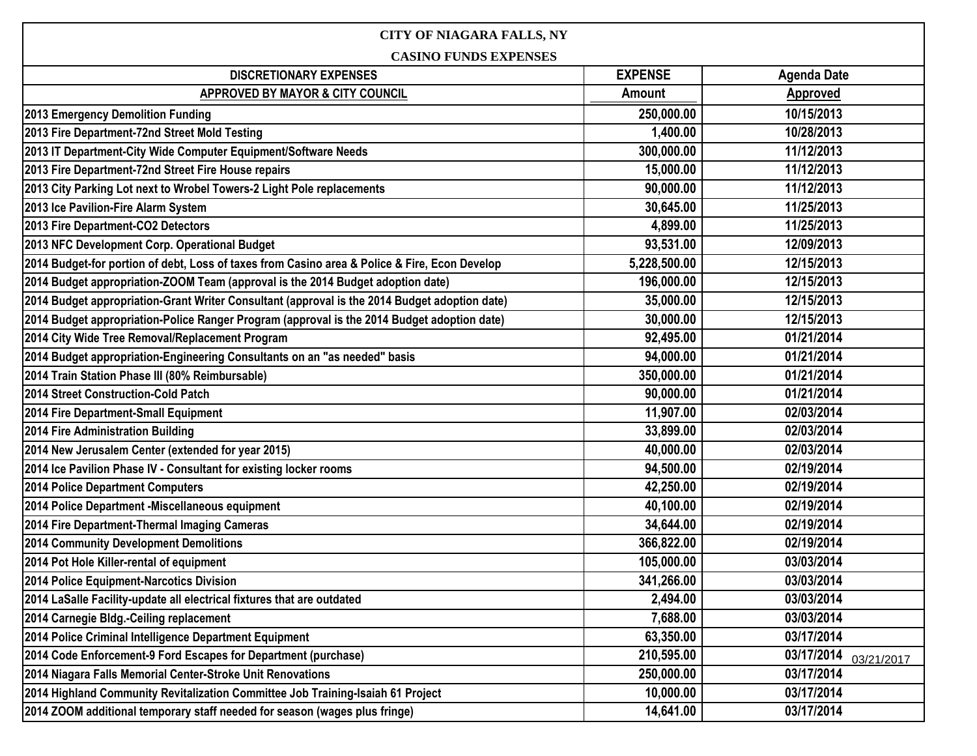| <b>CITY OF NIAGARA FALLS, NY</b>                                                              |                |                          |  |
|-----------------------------------------------------------------------------------------------|----------------|--------------------------|--|
| <b>CASINO FUNDS EXPENSES</b>                                                                  |                |                          |  |
| <b>DISCRETIONARY EXPENSES</b>                                                                 | <b>EXPENSE</b> | <b>Agenda Date</b>       |  |
| APPROVED BY MAYOR & CITY COUNCIL                                                              | Amount         | <b>Approved</b>          |  |
| 2013 Emergency Demolition Funding                                                             | 250,000.00     | 10/15/2013               |  |
| 2013 Fire Department-72nd Street Mold Testing                                                 | 1,400.00       | 10/28/2013               |  |
| 2013 IT Department-City Wide Computer Equipment/Software Needs                                | 300,000.00     | 11/12/2013               |  |
| 2013 Fire Department-72nd Street Fire House repairs                                           | 15,000.00      | 11/12/2013               |  |
| 2013 City Parking Lot next to Wrobel Towers-2 Light Pole replacements                         | 90,000.00      | 11/12/2013               |  |
| 2013 Ice Pavilion-Fire Alarm System                                                           | 30,645.00      | 11/25/2013               |  |
| 2013 Fire Department-CO2 Detectors                                                            | 4,899.00       | 11/25/2013               |  |
| 2013 NFC Development Corp. Operational Budget                                                 | 93,531.00      | 12/09/2013               |  |
| 2014 Budget-for portion of debt, Loss of taxes from Casino area & Police & Fire, Econ Develop | 5,228,500.00   | 12/15/2013               |  |
| 2014 Budget appropriation-ZOOM Team (approval is the 2014 Budget adoption date)               | 196,000.00     | 12/15/2013               |  |
| 2014 Budget appropriation-Grant Writer Consultant (approval is the 2014 Budget adoption date) | 35,000.00      | 12/15/2013               |  |
| 2014 Budget appropriation-Police Ranger Program (approval is the 2014 Budget adoption date)   | 30,000.00      | 12/15/2013               |  |
| 2014 City Wide Tree Removal/Replacement Program                                               | 92,495.00      | 01/21/2014               |  |
| 2014 Budget appropriation-Engineering Consultants on an "as needed" basis                     | 94,000.00      | 01/21/2014               |  |
| 2014 Train Station Phase III (80% Reimbursable)                                               | 350,000.00     | 01/21/2014               |  |
| 2014 Street Construction-Cold Patch                                                           | 90,000.00      | 01/21/2014               |  |
| 2014 Fire Department-Small Equipment                                                          | 11,907.00      | 02/03/2014               |  |
| 2014 Fire Administration Building                                                             | 33,899.00      | 02/03/2014               |  |
| 2014 New Jerusalem Center (extended for year 2015)                                            | 40,000.00      | 02/03/2014               |  |
| 2014 Ice Pavilion Phase IV - Consultant for existing locker rooms                             | 94,500.00      | 02/19/2014               |  |
| 2014 Police Department Computers                                                              | 42,250.00      | 02/19/2014               |  |
| 2014 Police Department - Miscellaneous equipment                                              | 40,100.00      | 02/19/2014               |  |
| 2014 Fire Department-Thermal Imaging Cameras                                                  | 34,644.00      | 02/19/2014               |  |
| 2014 Community Development Demolitions                                                        | 366,822.00     | 02/19/2014               |  |
| 2014 Pot Hole Killer-rental of equipment                                                      | 105,000.00     | 03/03/2014               |  |
| 2014 Police Equipment-Narcotics Division                                                      | 341,266.00     | 03/03/2014               |  |
| 2014 LaSalle Facility-update all electrical fixtures that are outdated                        | 2,494.00       | 03/03/2014               |  |
| 2014 Carnegie Bldg.-Ceiling replacement                                                       | 7,688.00       | 03/03/2014               |  |
| 2014 Police Criminal Intelligence Department Equipment                                        | 63,350.00      | 03/17/2014               |  |
| 2014 Code Enforcement-9 Ford Escapes for Department (purchase)                                | 210,595.00     | 03/17/2014<br>03/21/2017 |  |
| 2014 Niagara Falls Memorial Center-Stroke Unit Renovations                                    | 250,000.00     | 03/17/2014               |  |
| 2014 Highland Community Revitalization Committee Job Training-Isaiah 61 Project               | 10,000.00      | 03/17/2014               |  |
| 2014 ZOOM additional temporary staff needed for season (wages plus fringe)                    | 14,641.00      | 03/17/2014               |  |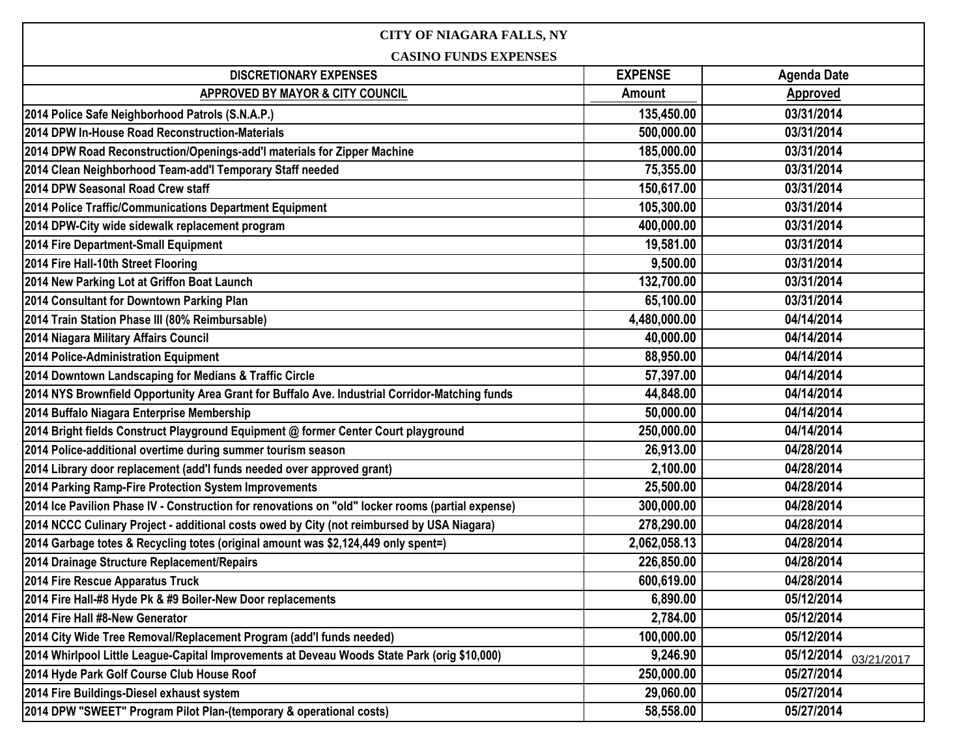| <b>CITY OF NIAGARA FALLS, NY</b>                                                                  |                |                          |  |
|---------------------------------------------------------------------------------------------------|----------------|--------------------------|--|
| <b>CASINO FUNDS EXPENSES</b>                                                                      |                |                          |  |
| <b>DISCRETIONARY EXPENSES</b>                                                                     | <b>EXPENSE</b> | <b>Agenda Date</b>       |  |
| APPROVED BY MAYOR & CITY COUNCIL                                                                  | Amount         | Approved                 |  |
| 2014 Police Safe Neighborhood Patrols (S.N.A.P.)                                                  | 135,450.00     | 03/31/2014               |  |
| 2014 DPW In-House Road Reconstruction-Materials                                                   | 500,000.00     | 03/31/2014               |  |
| 2014 DPW Road Reconstruction/Openings-add'I materials for Zipper Machine                          | 185,000.00     | 03/31/2014               |  |
| 2014 Clean Neighborhood Team-add'l Temporary Staff needed                                         | 75,355.00      | 03/31/2014               |  |
| 2014 DPW Seasonal Road Crew staff                                                                 | 150,617.00     | 03/31/2014               |  |
| 2014 Police Traffic/Communications Department Equipment                                           | 105,300.00     | 03/31/2014               |  |
| 2014 DPW-City wide sidewalk replacement program                                                   | 400,000.00     | 03/31/2014               |  |
| 2014 Fire Department-Small Equipment                                                              | 19,581.00      | 03/31/2014               |  |
| 2014 Fire Hall-10th Street Flooring                                                               | 9,500.00       | 03/31/2014               |  |
| 2014 New Parking Lot at Griffon Boat Launch                                                       | 132,700.00     | 03/31/2014               |  |
| 2014 Consultant for Downtown Parking Plan                                                         | 65,100.00      | 03/31/2014               |  |
| 2014 Train Station Phase III (80% Reimbursable)                                                   | 4,480,000.00   | 04/14/2014               |  |
| 2014 Niagara Military Affairs Council                                                             | 40,000.00      | 04/14/2014               |  |
| 2014 Police-Administration Equipment                                                              | 88,950.00      | 04/14/2014               |  |
| 2014 Downtown Landscaping for Medians & Traffic Circle                                            | 57,397.00      | 04/14/2014               |  |
| 2014 NYS Brownfield Opportunity Area Grant for Buffalo Ave. Industrial Corridor-Matching funds    | 44,848.00      | 04/14/2014               |  |
| 2014 Buffalo Niagara Enterprise Membership                                                        | 50,000.00      | 04/14/2014               |  |
| 2014 Bright fields Construct Playground Equipment @ former Center Court playground                | 250,000.00     | 04/14/2014               |  |
| 2014 Police-additional overtime during summer tourism season                                      | 26,913.00      | 04/28/2014               |  |
| 2014 Library door replacement (add'I funds needed over approved grant)                            | 2,100.00       | 04/28/2014               |  |
| 2014 Parking Ramp-Fire Protection System Improvements                                             | 25,500.00      | 04/28/2014               |  |
| 2014 Ice Pavilion Phase IV - Construction for renovations on "old" locker rooms (partial expense) | 300,000.00     | 04/28/2014               |  |
| 2014 NCCC Culinary Project - additional costs owed by City (not reimbursed by USA Niagara)        | 278,290.00     | 04/28/2014               |  |
| 2014 Garbage totes & Recycling totes (original amount was \$2,124,449 only spent=)                | 2,062,058.13   | 04/28/2014               |  |
| 2014 Drainage Structure Replacement/Repairs                                                       | 226,850.00     | 04/28/2014               |  |
| 2014 Fire Rescue Apparatus Truck                                                                  | 600,619.00     | 04/28/2014               |  |
| 2014 Fire Hall-#8 Hyde Pk & #9 Boiler-New Door replacements                                       | 6,890.00       | 05/12/2014               |  |
| 2014 Fire Hall #8-New Generator                                                                   | 2,784.00       | 05/12/2014               |  |
| 2014 City Wide Tree Removal/Replacement Program (add'I funds needed)                              | 100,000.00     | 05/12/2014               |  |
| 2014 Whirlpool Little League-Capital Improvements at Deveau Woods State Park (orig \$10,000)      | 9,246.90       | 05/12/2014<br>03/21/2017 |  |
| 2014 Hyde Park Golf Course Club House Roof                                                        | 250,000.00     | 05/27/2014               |  |
| 2014 Fire Buildings-Diesel exhaust system                                                         | 29,060.00      | 05/27/2014               |  |
| 2014 DPW "SWEET" Program Pilot Plan-(temporary & operational costs)                               | 58,558.00      | 05/27/2014               |  |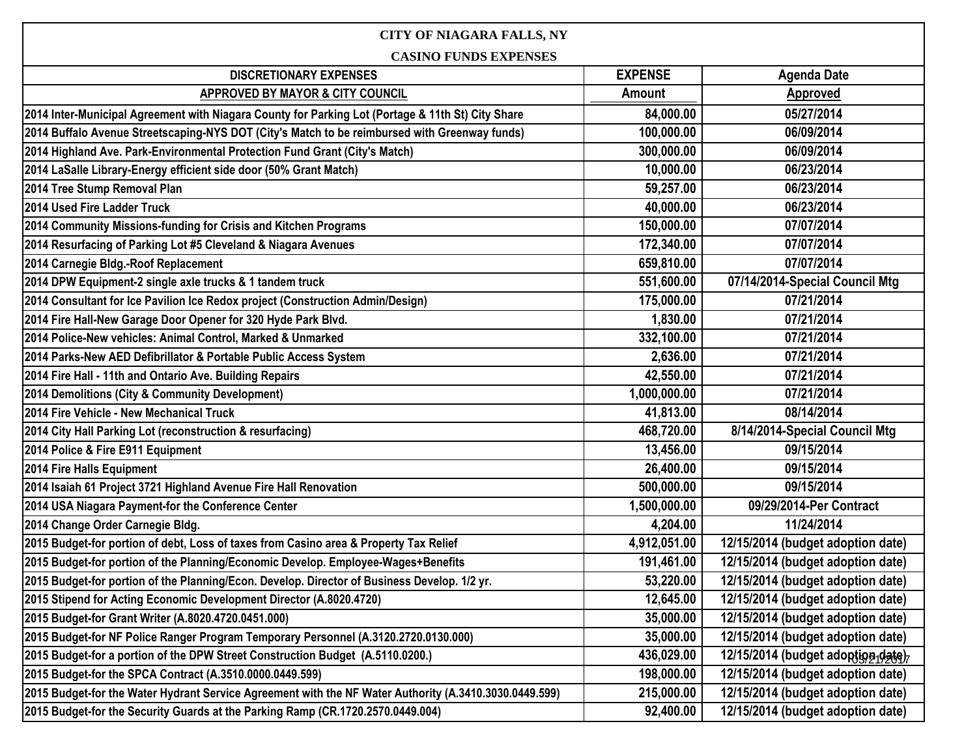## **CITY OF NIAGARA FALLS, NY**

**CASINO FUNDS EXPENSES**

| CASINU FUNDS EAPENSES                                                                                  |                |                                   |  |
|--------------------------------------------------------------------------------------------------------|----------------|-----------------------------------|--|
| <b>DISCRETIONARY EXPENSES</b>                                                                          | <b>EXPENSE</b> | <b>Agenda Date</b>                |  |
| <b>APPROVED BY MAYOR &amp; CITY COUNCIL</b>                                                            | <b>Amount</b>  | <b>Approved</b>                   |  |
| 2014 Inter-Municipal Agreement with Niagara County for Parking Lot (Portage & 11th St) City Share      | 84,000.00      | 05/27/2014                        |  |
| 2014 Buffalo Avenue Streetscaping-NYS DOT (City's Match to be reimbursed with Greenway funds)          | 100,000.00     | 06/09/2014                        |  |
| 2014 Highland Ave. Park-Environmental Protection Fund Grant (City's Match)                             | 300,000.00     | 06/09/2014                        |  |
| 2014 LaSalle Library-Energy efficient side door (50% Grant Match)                                      | 10,000.00      | 06/23/2014                        |  |
| 2014 Tree Stump Removal Plan                                                                           | 59,257.00      | 06/23/2014                        |  |
| 2014 Used Fire Ladder Truck                                                                            | 40,000.00      | 06/23/2014                        |  |
| 2014 Community Missions-funding for Crisis and Kitchen Programs                                        | 150,000.00     | 07/07/2014                        |  |
| 2014 Resurfacing of Parking Lot #5 Cleveland & Niagara Avenues                                         | 172,340.00     | 07/07/2014                        |  |
| 2014 Carnegie Bldg.-Roof Replacement                                                                   | 659,810.00     | 07/07/2014                        |  |
| 2014 DPW Equipment-2 single axle trucks & 1 tandem truck                                               | 551,600.00     | 07/14/2014-Special Council Mtg    |  |
| 2014 Consultant for Ice Pavilion Ice Redox project (Construction Admin/Design)                         | 175,000.00     | 07/21/2014                        |  |
| 2014 Fire Hall-New Garage Door Opener for 320 Hyde Park Blvd.                                          | 1,830.00       | 07/21/2014                        |  |
| 2014 Police-New vehicles: Animal Control, Marked & Unmarked                                            | 332,100.00     | 07/21/2014                        |  |
| 2014 Parks-New AED Defibrillator & Portable Public Access System                                       | 2,636.00       | 07/21/2014                        |  |
| 2014 Fire Hall - 11th and Ontario Ave. Building Repairs                                                | 42,550.00      | 07/21/2014                        |  |
| 2014 Demolitions (City & Community Development)                                                        | 1,000,000.00   | 07/21/2014                        |  |
| 2014 Fire Vehicle - New Mechanical Truck                                                               | 41,813.00      | 08/14/2014                        |  |
| 2014 City Hall Parking Lot (reconstruction & resurfacing)                                              | 468,720.00     | 8/14/2014-Special Council Mtg     |  |
| 2014 Police & Fire E911 Equipment                                                                      | 13,456.00      | 09/15/2014                        |  |
| 2014 Fire Halls Equipment                                                                              | 26,400.00      | 09/15/2014                        |  |
| 2014 Isaiah 61 Project 3721 Highland Avenue Fire Hall Renovation                                       | 500,000.00     | 09/15/2014                        |  |
| 2014 USA Niagara Payment-for the Conference Center                                                     | 1,500,000.00   | 09/29/2014-Per Contract           |  |
| 2014 Change Order Carnegie Bldg.                                                                       | 4,204.00       | 11/24/2014                        |  |
| 2015 Budget-for portion of debt, Loss of taxes from Casino area & Property Tax Relief                  | 4,912,051.00   | 12/15/2014 (budget adoption date) |  |
| 2015 Budget-for portion of the Planning/Economic Develop. Employee-Wages+Benefits                      | 191,461.00     | 12/15/2014 (budget adoption date) |  |
| 2015 Budget-for portion of the Planning/Econ. Develop. Director of Business Develop. 1/2 yr.           | 53,220.00      | 12/15/2014 (budget adoption date) |  |
| 2015 Stipend for Acting Economic Development Director (A.8020.4720)                                    | 12,645.00      | 12/15/2014 (budget adoption date) |  |
| 2015 Budget-for Grant Writer (A.8020.4720.0451.000)                                                    | 35,000.00      | 12/15/2014 (budget adoption date) |  |
| 2015 Budget-for NF Police Ranger Program Temporary Personnel (A.3120.2720.0130.000)                    | 35,000.00      | 12/15/2014 (budget adoption date) |  |
| 2015 Budget-for a portion of the DPW Street Construction Budget (A.5110.0200.)                         | 436,029.00     | 12/15/2014 (budget adoption date) |  |
| 2015 Budget-for the SPCA Contract (A.3510.0000.0449.599)                                               | 198,000.00     | 12/15/2014 (budget adoption date) |  |
| 2015 Budget-for the Water Hydrant Service Agreement with the NF Water Authority (A.3410.3030.0449.599) | 215,000.00     | 12/15/2014 (budget adoption date) |  |
| 2015 Budget-for the Security Guards at the Parking Ramp (CR.1720.2570.0449.004)                        | 92,400.00      | 12/15/2014 (budget adoption date) |  |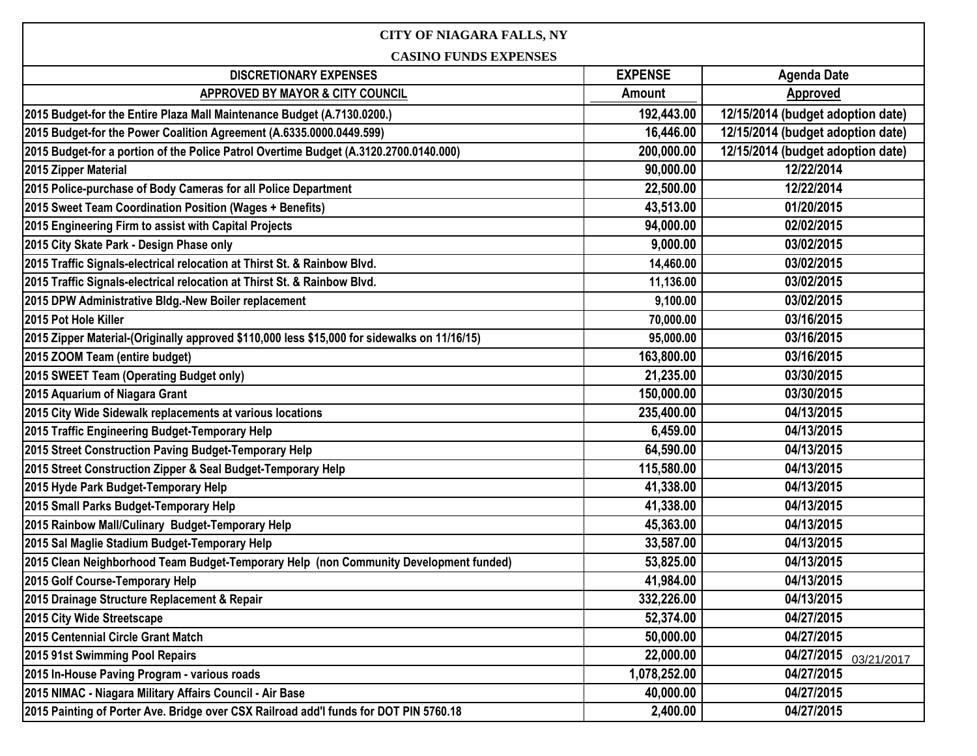| <b>CITY OF NIAGARA FALLS, NY</b>                                                             |                |                                   |  |
|----------------------------------------------------------------------------------------------|----------------|-----------------------------------|--|
| <b>CASINO FUNDS EXPENSES</b>                                                                 |                |                                   |  |
| <b>DISCRETIONARY EXPENSES</b>                                                                | <b>EXPENSE</b> | <b>Agenda Date</b>                |  |
| APPROVED BY MAYOR & CITY COUNCIL                                                             | Amount         | Approved                          |  |
| 2015 Budget-for the Entire Plaza Mall Maintenance Budget (A.7130.0200.)                      | 192,443.00     | 12/15/2014 (budget adoption date) |  |
| 2015 Budget-for the Power Coalition Agreement (A.6335.0000.0449.599)                         | 16,446.00      | 12/15/2014 (budget adoption date) |  |
| 2015 Budget-for a portion of the Police Patrol Overtime Budget (A.3120.2700.0140.000)        | 200,000.00     | 12/15/2014 (budget adoption date) |  |
| 2015 Zipper Material                                                                         | 90,000.00      | 12/22/2014                        |  |
| 2015 Police-purchase of Body Cameras for all Police Department                               | 22,500.00      | 12/22/2014                        |  |
| 2015 Sweet Team Coordination Position (Wages + Benefits)                                     | 43,513.00      | 01/20/2015                        |  |
| 2015 Engineering Firm to assist with Capital Projects                                        | 94,000.00      | 02/02/2015                        |  |
| 2015 City Skate Park - Design Phase only                                                     | 9,000.00       | 03/02/2015                        |  |
| 2015 Traffic Signals-electrical relocation at Thirst St. & Rainbow Blvd.                     | 14,460.00      | 03/02/2015                        |  |
| 2015 Traffic Signals-electrical relocation at Thirst St. & Rainbow Blvd.                     | 11,136.00      | 03/02/2015                        |  |
| 2015 DPW Administrative Bldg.-New Boiler replacement                                         | 9,100.00       | 03/02/2015                        |  |
| 2015 Pot Hole Killer                                                                         | 70,000.00      | 03/16/2015                        |  |
| 2015 Zipper Material-(Originally approved \$110,000 less \$15,000 for sidewalks on 11/16/15) | 95,000.00      | 03/16/2015                        |  |
| 2015 ZOOM Team (entire budget)                                                               | 163,800.00     | 03/16/2015                        |  |
| 2015 SWEET Team (Operating Budget only)                                                      | 21,235.00      | 03/30/2015                        |  |
| 2015 Aquarium of Niagara Grant                                                               | 150,000.00     | 03/30/2015                        |  |
| 2015 City Wide Sidewalk replacements at various locations                                    | 235,400.00     | 04/13/2015                        |  |
| 2015 Traffic Engineering Budget-Temporary Help                                               | 6,459.00       | 04/13/2015                        |  |
| 2015 Street Construction Paving Budget-Temporary Help                                        | 64,590.00      | 04/13/2015                        |  |
| 2015 Street Construction Zipper & Seal Budget-Temporary Help                                 | 115,580.00     | 04/13/2015                        |  |
| 2015 Hyde Park Budget-Temporary Help                                                         | 41,338.00      | 04/13/2015                        |  |
| 2015 Small Parks Budget-Temporary Help                                                       | 41,338.00      | 04/13/2015                        |  |
| 2015 Rainbow Mall/Culinary Budget-Temporary Help                                             | 45,363.00      | 04/13/2015                        |  |
| 2015 Sal Maglie Stadium Budget-Temporary Help                                                | 33,587.00      | 04/13/2015                        |  |
| 2015 Clean Neighborhood Team Budget-Temporary Help (non Community Development funded)        | 53,825.00      | 04/13/2015                        |  |
| 2015 Golf Course-Temporary Help                                                              | 41,984.00      | 04/13/2015                        |  |
| 2015 Drainage Structure Replacement & Repair                                                 | 332,226.00     | 04/13/2015                        |  |
| 2015 City Wide Streetscape                                                                   | 52,374.00      | 04/27/2015                        |  |
| 2015 Centennial Circle Grant Match                                                           | 50,000.00      | 04/27/2015                        |  |
| 2015 91st Swimming Pool Repairs                                                              | 22,000.00      | 04/27/2015<br>03/21/2017          |  |
| 2015 In-House Paving Program - various roads                                                 | 1,078,252.00   | 04/27/2015                        |  |
| 2015 NIMAC - Niagara Military Affairs Council - Air Base                                     | 40,000.00      | 04/27/2015                        |  |
| 2015 Painting of Porter Ave. Bridge over CSX Railroad add'l funds for DOT PIN 5760.18        | 2,400.00       | 04/27/2015                        |  |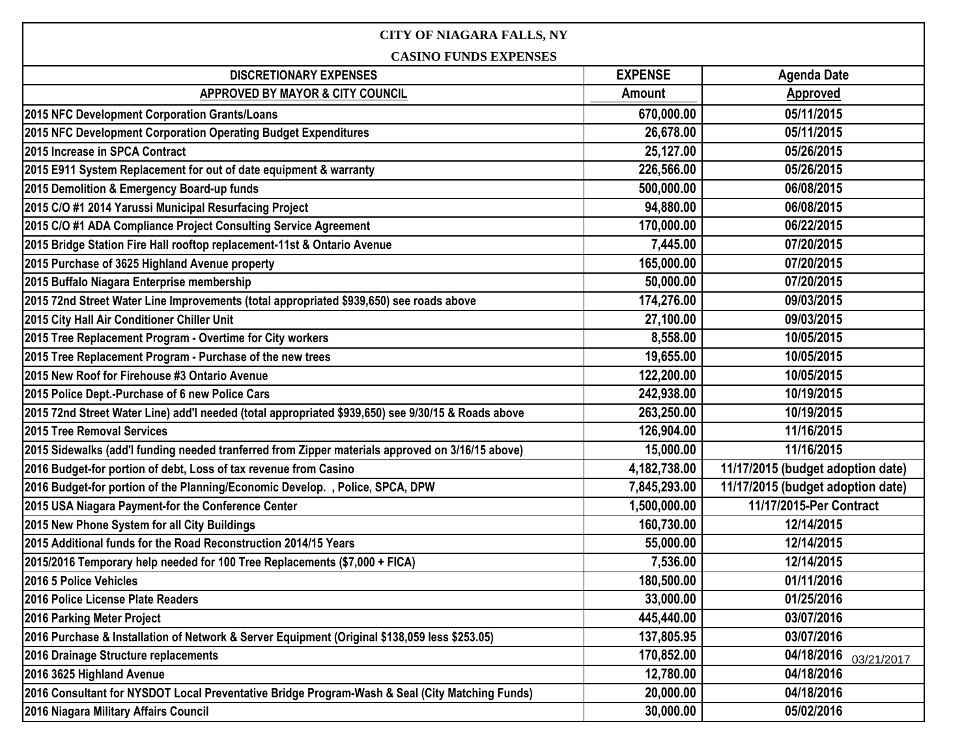| <b>CITY OF NIAGARA FALLS, NY</b>                                                                   |                |                                   |  |
|----------------------------------------------------------------------------------------------------|----------------|-----------------------------------|--|
| <b>CASINO FUNDS EXPENSES</b>                                                                       |                |                                   |  |
| <b>DISCRETIONARY EXPENSES</b>                                                                      | <b>EXPENSE</b> | <b>Agenda Date</b>                |  |
| APPROVED BY MAYOR & CITY COUNCIL                                                                   | Amount         | <b>Approved</b>                   |  |
| 2015 NFC Development Corporation Grants/Loans                                                      | 670,000.00     | 05/11/2015                        |  |
| 2015 NFC Development Corporation Operating Budget Expenditures                                     | 26,678.00      | 05/11/2015                        |  |
| 2015 Increase in SPCA Contract                                                                     | 25,127.00      | 05/26/2015                        |  |
| 2015 E911 System Replacement for out of date equipment & warranty                                  | 226,566.00     | 05/26/2015                        |  |
| 2015 Demolition & Emergency Board-up funds                                                         | 500,000.00     | 06/08/2015                        |  |
| 2015 C/O #1 2014 Yarussi Municipal Resurfacing Project                                             | 94,880.00      | 06/08/2015                        |  |
| 2015 C/O #1 ADA Compliance Project Consulting Service Agreement                                    | 170,000.00     | 06/22/2015                        |  |
| 2015 Bridge Station Fire Hall rooftop replacement-11st & Ontario Avenue                            | 7,445.00       | 07/20/2015                        |  |
| 2015 Purchase of 3625 Highland Avenue property                                                     | 165,000.00     | 07/20/2015                        |  |
| 2015 Buffalo Niagara Enterprise membership                                                         | 50,000.00      | 07/20/2015                        |  |
| 2015 72nd Street Water Line Improvements (total appropriated \$939,650) see roads above            | 174,276.00     | 09/03/2015                        |  |
| 2015 City Hall Air Conditioner Chiller Unit                                                        | 27,100.00      | 09/03/2015                        |  |
| 2015 Tree Replacement Program - Overtime for City workers                                          | 8,558.00       | 10/05/2015                        |  |
| 2015 Tree Replacement Program - Purchase of the new trees                                          | 19,655.00      | 10/05/2015                        |  |
| 2015 New Roof for Firehouse #3 Ontario Avenue                                                      | 122,200.00     | 10/05/2015                        |  |
| 2015 Police Dept.-Purchase of 6 new Police Cars                                                    | 242,938.00     | 10/19/2015                        |  |
| 2015 72nd Street Water Line) add'I needed (total appropriated \$939,650) see 9/30/15 & Roads above | 263,250.00     | 10/19/2015                        |  |
| 2015 Tree Removal Services                                                                         | 126,904.00     | 11/16/2015                        |  |
| 2015 Sidewalks (add'I funding needed tranferred from Zipper materials approved on 3/16/15 above)   | 15,000.00      | 11/16/2015                        |  |
| 2016 Budget-for portion of debt, Loss of tax revenue from Casino                                   | 4,182,738.00   | 11/17/2015 (budget adoption date) |  |
| 2016 Budget-for portion of the Planning/Economic Develop., Police, SPCA, DPW                       | 7,845,293.00   | 11/17/2015 (budget adoption date) |  |
| 2015 USA Niagara Payment-for the Conference Center                                                 | 1,500,000.00   | 11/17/2015-Per Contract           |  |
| 2015 New Phone System for all City Buildings                                                       | 160,730.00     | 12/14/2015                        |  |
| 2015 Additional funds for the Road Reconstruction 2014/15 Years                                    | 55,000.00      | 12/14/2015                        |  |
| 2015/2016 Temporary help needed for 100 Tree Replacements (\$7,000 + FICA)                         | 7,536.00       | 12/14/2015                        |  |
| 2016 5 Police Vehicles                                                                             | 180,500.00     | 01/11/2016                        |  |
| 2016 Police License Plate Readers                                                                  | 33,000.00      | 01/25/2016                        |  |
| 2016 Parking Meter Project                                                                         | 445,440.00     | 03/07/2016                        |  |
| 2016 Purchase & Installation of Network & Server Equipment (Original \$138,059 less \$253.05)      | 137,805.95     | 03/07/2016                        |  |
| 2016 Drainage Structure replacements                                                               | 170,852.00     | 04/18/2016<br>03/21/2017          |  |
| 2016 3625 Highland Avenue                                                                          | 12,780.00      | 04/18/2016                        |  |
| 2016 Consultant for NYSDOT Local Preventative Bridge Program-Wash & Seal (City Matching Funds)     | 20,000.00      | 04/18/2016                        |  |
| 2016 Niagara Military Affairs Council                                                              | 30,000.00      | 05/02/2016                        |  |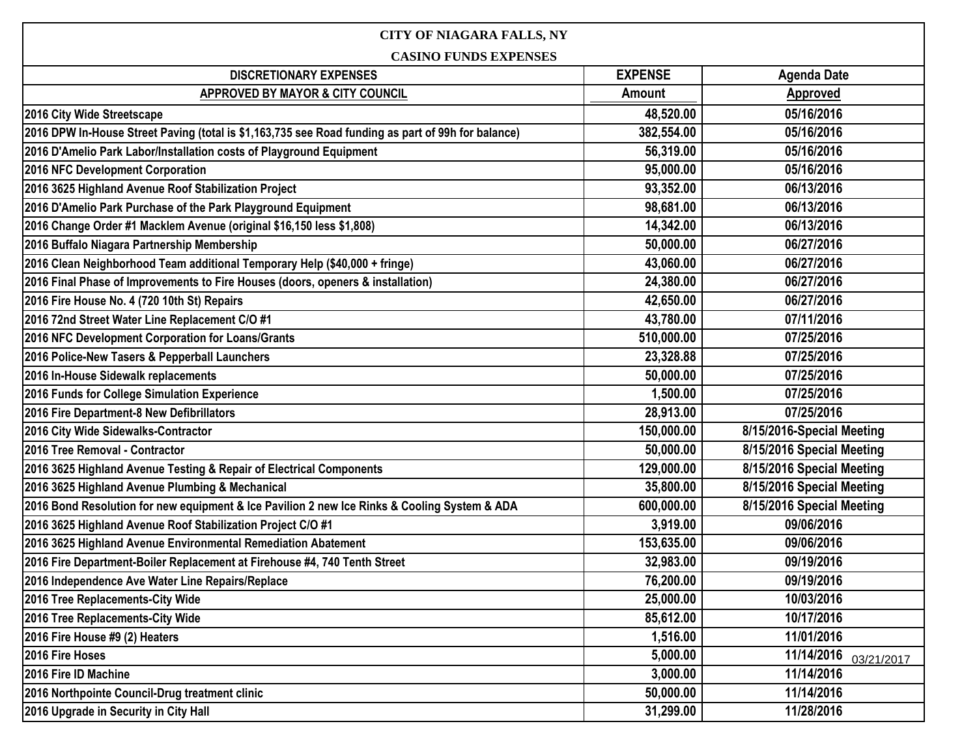| CITY OF NIAGARA FALLS, NY                                                                          |                |                           |  |
|----------------------------------------------------------------------------------------------------|----------------|---------------------------|--|
| <b>CASINO FUNDS EXPENSES</b>                                                                       |                |                           |  |
| <b>DISCRETIONARY EXPENSES</b>                                                                      | <b>EXPENSE</b> | <b>Agenda Date</b>        |  |
| APPROVED BY MAYOR & CITY COUNCIL                                                                   | <b>Amount</b>  | <b>Approved</b>           |  |
| 2016 City Wide Streetscape                                                                         | 48,520.00      | 05/16/2016                |  |
| 2016 DPW In-House Street Paving (total is \$1,163,735 see Road funding as part of 99h for balance) | 382,554.00     | 05/16/2016                |  |
| 2016 D'Amelio Park Labor/Installation costs of Playground Equipment                                | 56,319.00      | 05/16/2016                |  |
| 2016 NFC Development Corporation                                                                   | 95,000.00      | 05/16/2016                |  |
| 2016 3625 Highland Avenue Roof Stabilization Project                                               | 93,352.00      | 06/13/2016                |  |
| 2016 D'Amelio Park Purchase of the Park Playground Equipment                                       | 98,681.00      | 06/13/2016                |  |
| 2016 Change Order #1 Macklem Avenue (original \$16,150 less \$1,808)                               | 14,342.00      | 06/13/2016                |  |
| 2016 Buffalo Niagara Partnership Membership                                                        | 50,000.00      | 06/27/2016                |  |
| 2016 Clean Neighborhood Team additional Temporary Help (\$40,000 + fringe)                         | 43,060.00      | 06/27/2016                |  |
| 2016 Final Phase of Improvements to Fire Houses (doors, openers & installation)                    | 24,380.00      | 06/27/2016                |  |
| 2016 Fire House No. 4 (720 10th St) Repairs                                                        | 42,650.00      | 06/27/2016                |  |
| 2016 72nd Street Water Line Replacement C/O #1                                                     | 43,780.00      | 07/11/2016                |  |
| 2016 NFC Development Corporation for Loans/Grants                                                  | 510,000.00     | 07/25/2016                |  |
| 2016 Police-New Tasers & Pepperball Launchers                                                      | 23,328.88      | 07/25/2016                |  |
| 2016 In-House Sidewalk replacements                                                                | 50,000.00      | 07/25/2016                |  |
| 2016 Funds for College Simulation Experience                                                       | 1,500.00       | 07/25/2016                |  |
| 2016 Fire Department-8 New Defibrillators                                                          | 28,913.00      | 07/25/2016                |  |
| 2016 City Wide Sidewalks-Contractor                                                                | 150,000.00     | 8/15/2016-Special Meeting |  |
| 2016 Tree Removal - Contractor                                                                     | 50,000.00      | 8/15/2016 Special Meeting |  |
| 2016 3625 Highland Avenue Testing & Repair of Electrical Components                                | 129,000.00     | 8/15/2016 Special Meeting |  |
| 2016 3625 Highland Avenue Plumbing & Mechanical                                                    | 35,800.00      | 8/15/2016 Special Meeting |  |
| 2016 Bond Resolution for new equipment & Ice Pavilion 2 new Ice Rinks & Cooling System & ADA       | 600,000.00     | 8/15/2016 Special Meeting |  |
| 2016 3625 Highland Avenue Roof Stabilization Project C/O #1                                        | 3,919.00       | 09/06/2016                |  |
| 2016 3625 Highland Avenue Environmental Remediation Abatement                                      | 153,635.00     | 09/06/2016                |  |
| 2016 Fire Department-Boiler Replacement at Firehouse #4, 740 Tenth Street                          | 32,983.00      | 09/19/2016                |  |
| 2016 Independence Ave Water Line Repairs/Replace                                                   | 76,200.00      | 09/19/2016                |  |
| 2016 Tree Replacements-City Wide                                                                   | 25,000.00      | 10/03/2016                |  |
| 2016 Tree Replacements-City Wide                                                                   | 85,612.00      | 10/17/2016                |  |
| 2016 Fire House #9 (2) Heaters                                                                     | 1,516.00       | 11/01/2016                |  |
| 2016 Fire Hoses                                                                                    | 5,000.00       | 11/14/2016<br>03/21/2017  |  |
| 2016 Fire ID Machine                                                                               | 3,000.00       | 11/14/2016                |  |
| 2016 Northpointe Council-Drug treatment clinic                                                     | 50,000.00      | 11/14/2016                |  |
| 2016 Upgrade in Security in City Hall                                                              | 31,299.00      | 11/28/2016                |  |